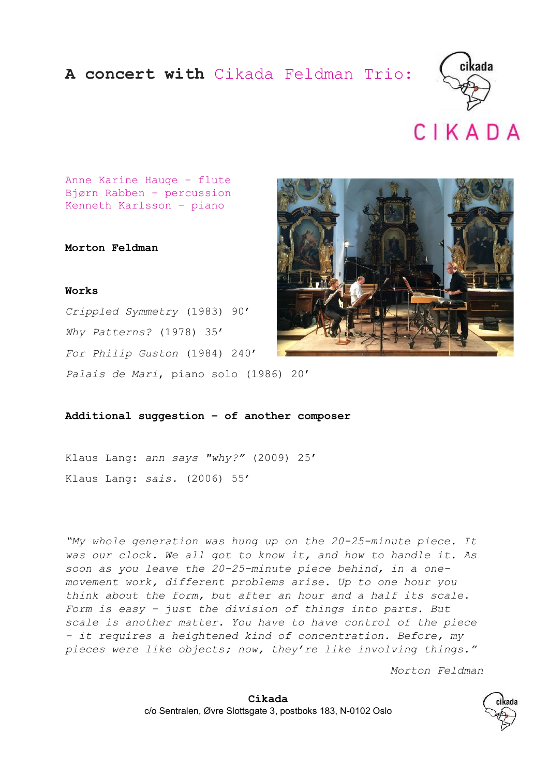## A concert with Cikada Feldman Trio:





Anne Karine Hauge – flute Bjørn Rabben – percussion Kenneth Karlsson – piano

Morton Feldman

## Works

Crippled Symmetry (1983) 90' Why Patterns? (1978) 35' For Philip Guston (1984) 240' Palais de Mari, piano solo (1986) 20'



Additional suggestion – of another composer

Klaus Lang: ann says "why?" (2009) 25' Klaus Lang: sais. (2006) 55'

"My whole generation was hung up on the 20-25-minute piece. It was our clock. We all got to know it, and how to handle it. As soon as you leave the 20-25-minute piece behind, in a onemovement work, different problems arise. Up to one hour you think about the form, but after an hour and a half its scale. Form is easy – just the division of things into parts. But scale is another matter. You have to have control of the piece – it requires a heightened kind of concentration. Before, my pieces were like objects; now, they're like involving things."

Morton Feldman

Cikada c/o Sentralen, Øvre Slottsgate 3, postboks 183, N-0102 Oslo

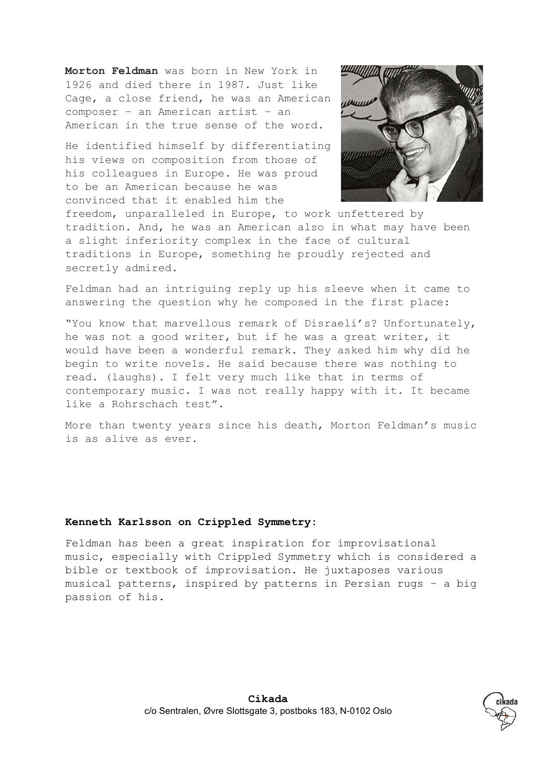Morton Feldman was born in New York in 1926 and died there in 1987. Just like Cage, a close friend, he was an American composer – an American artist – an American in the true sense of the word.

He identified himself by differentiating his views on composition from those of his colleagues in Europe. He was proud to be an American because he was convinced that it enabled him the



freedom, unparalleled in Europe, to work unfettered by tradition. And, he was an American also in what may have been a slight inferiority complex in the face of cultural traditions in Europe, something he proudly rejected and secretly admired.

Feldman had an intriguing reply up his sleeve when it came to answering the question why he composed in the first place:

"You know that marvellous remark of Disraeli's? Unfortunately, he was not a good writer, but if he was a great writer, it would have been a wonderful remark. They asked him why did he begin to write novels. He said because there was nothing to read. (laughs). I felt very much like that in terms of contemporary music. I was not really happy with it. It became like a Rohrschach test".

More than twenty years since his death, Morton Feldman's music is as alive as ever.

## Kenneth Karlsson on Crippled Symmetry:

Feldman has been a great inspiration for improvisational music, especially with Crippled Symmetry which is considered a bible or textbook of improvisation. He juxtaposes various musical patterns, inspired by patterns in Persian rugs – a big passion of his.